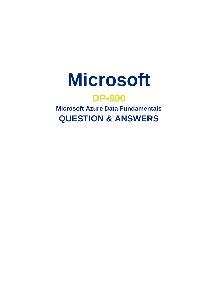

# **DP-900**

**Microsoft Azure Data Fundamentals QUESTION & ANSWERS**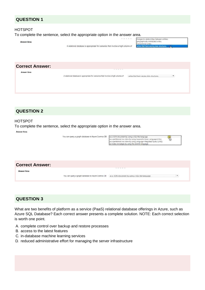# **QUESTION 1**

#### HOTSPOT

To complete the sentence, select the appropriate option in the answer area.



# **QUESTION 2**

#### HOTSPOT

To complete the sentence, select the appropriate option in the answer area.

**Answer Area** 





# **QUESTION 3**

What are two benefits of platform as a service (PaaS) relational database offerings in Azure, such as Azure SQL Database? Each correct answer presents a complete solution. NOTE: Each correct selection is worth one point.

- A. complete control over backup and restore processes
- B. access to the latest features
- C. in-database machine learning services
- D. reduced administrative effort for managing the server infrastructure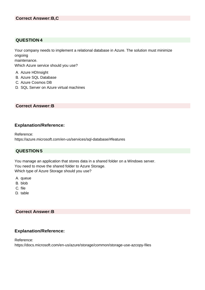## **QUESTION 4**

Your company needs to implement a relational database in Azure. The solution must minimize ongoing

maintenance.

Which Azure service should you use?

- A. Azure HDInsight
- B. Azure SQL Database
- C. Azure Cosmos DB
- D. SQL Server on Azure virtual machines

#### **Correct Answer:B**

#### **Explanation/Reference:**

Reference: https://azure.microsoft.com/en-us/services/sql-database/#features

## **QUESTION 5**

You manage an application that stores data in a shared folder on a Windows server. You need to move the shared folder to Azure Storage. Which type of Azure Storage should you use?

- A. queue
- B. blob
- C. file
- D. table

#### **Correct Answer:B**

## **Explanation/Reference:**

Reference: https://docs.microsoft.com/en-us/azure/storage/common/storage-use-azcopy-files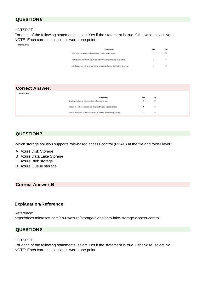# **QUESTION 6**

#### HOTSPOT

For each of the following statements, select Yes if the statement is true. Otherwise, select No. NOTE: Each correct selection is worth one point.

**Answer Area** 

Answe

| <b>Statements</b>                                                                                                                                                             | Yes | No |
|-------------------------------------------------------------------------------------------------------------------------------------------------------------------------------|-----|----|
| Relational database tables contain columns and rows.<br><u> A shekara ta tsayayya na sanayin sa sanayin sa sanayin sa sanayin sa sanayin sa sanayin sa sanayin sa sanayin</u> |     |    |
| Indexes in a relational database describe the data types in a table.                                                                                                          |     |    |
| A database view is a virtual table whose content is defined by a query.                                                                                                       |     |    |

#### **Correct Answer:**

| r Area |                                                                         |                          |           |  |
|--------|-------------------------------------------------------------------------|--------------------------|-----------|--|
|        | <b>Statements</b>                                                       | Yes                      | <b>No</b> |  |
|        | Relational database tables contain columns and rows.                    | $\left( \bullet \right)$ | O         |  |
|        | Indexes in a relational database describe the data types in a table.    | ۰                        |           |  |
|        | A database view is a virtual table whose content is defined by a query. |                          | ۱         |  |

#### **QUESTION 7**

Which storage solution supports role-based access control (RBAC) at the file and folder level?

- A. Azure Disk Storage
- B. Azure Data Lake Storage
- C. Azure Blob storage
- D. Azure Queue storage

#### **Correct Answer:B**

#### **Explanation/Reference:**

Reference: https://docs.microsoft.com/en-us/azure/storage/blobs/data-lake-storage-access-control

## **QUESTION 8**

#### HOTSPOT

For each of the following statements, select Yes if the statement is true. Otherwise, select No. NOTE: Each correct selection is worth one point.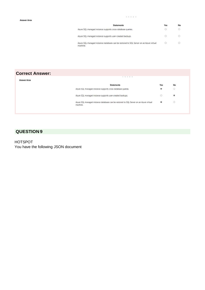| <b>Statements</b>                                                                                  | Yes     | No |
|----------------------------------------------------------------------------------------------------|---------|----|
| Azure SQL managed instance supports cross-database queries.                                        |         |    |
| Azure SQL managed instance supports user-created backups.                                          |         |    |
| Azure SQL managed instance databases can be restored to SQL Server on an Azure virtual<br>machine. | $\odot$ |    |

#### **Correct Answer:**

| <b>Answer Area</b>                                                                                 | .             |         |  |
|----------------------------------------------------------------------------------------------------|---------------|---------|--|
| <b>Statements</b>                                                                                  | Yes           | No      |  |
| Azure SQL managed instance supports cross-database queries.                                        | $\circledast$ | $\circ$ |  |
| Azure SQL managed instance supports user-created backups.                                          | $\circ$       | ۵       |  |
| Azure SQL managed instance databases can be restored to SQL Server on an Azure virtual<br>machine. | ۵             | O       |  |

# **QUESTION 9**

HOTSPOT You have the following JSON document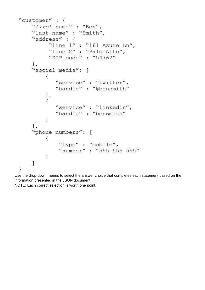```
"customer" : {
"first name" : "Ben",
"last name" : "Smith",
"address" : {
      "line 1": "161 Azure Ln","line 2" : "Palo Alto",
      "ZIP code" : "54762"
 \},
"social media": [
     \{"service" : "twitter",
         "handle": "@bensmith"
     \} ,
      \left\{ \right."service" : "linkedin",
         "handle" : "bensmith"
     \mathbf{1}\mathbf{1},
"phone numbers": [
     \{"type": "mobile",
          "number": "555-555-555"
     \mathcal{F}\mathbf{J}\mathcal{E}
```
Use the drop-down menus to select the answer choice that completes each statement based on the information presented in the JSON document.

NOTE: Each correct selection is worth one point.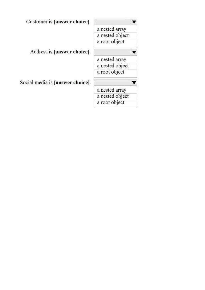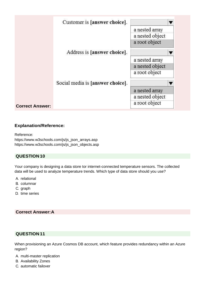|                        | Customer is [answer choice].     |                 |
|------------------------|----------------------------------|-----------------|
|                        |                                  | a nested array  |
|                        |                                  | a nested object |
|                        |                                  | a root object   |
|                        | Address is [answer choice].      |                 |
|                        |                                  | a nested array  |
|                        |                                  | a nested object |
|                        |                                  | a root object   |
|                        | Social media is [answer choice]. |                 |
|                        |                                  | a nested array  |
|                        |                                  | a nested object |
| <b>Correct Answer:</b> |                                  | a root object   |
|                        |                                  |                 |

# **Explanation/Reference:**

Reference: [https://www.w3schools.com/js/js\\_json\\_arrays.asp](http://www.w3schools.com/js/js_json_arrays.asp) [https://www.w3schools.com/js/js\\_json\\_objects.asp](http://www.w3schools.com/js/js_json_objects.asp)

# **QUESTION 10**

Your company is designing a data store tor internet-connected temperature sensors. The collected data will be used to analyze temperature trends. Which type of data store should you use?

- A. relational
- B. columnar
- C. graph
- D. time series

## **Correct Answer:A**

# **QUESTION 11**

When provisioning an Azure Cosmos DB account, which feature provides redundancy within an Azure region?

- A. multi-master replication
- B. Availability Zones
- C. automatic failover